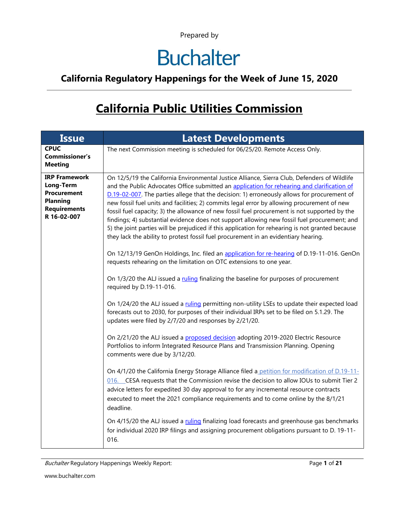### **Buchalter**

### **California Regulatory Happenings for the Week of June 15, 2020**

### **California Public Utilities Commission**

| <b>Issue</b>                                                                                              | <b>Latest Developments</b>                                                                                                                                                                                                                                                                                                                                                                                                                                                                                                                                                                                                                                                                                                                                                                                                                                                                                                                                                                                                                                                                                                                                                                                                                                                                                                                                                                                                                                                                                                                                                                                                                                                                                                                                                                                                                                                                                                                                                                                                                                                                                                                    |
|-----------------------------------------------------------------------------------------------------------|-----------------------------------------------------------------------------------------------------------------------------------------------------------------------------------------------------------------------------------------------------------------------------------------------------------------------------------------------------------------------------------------------------------------------------------------------------------------------------------------------------------------------------------------------------------------------------------------------------------------------------------------------------------------------------------------------------------------------------------------------------------------------------------------------------------------------------------------------------------------------------------------------------------------------------------------------------------------------------------------------------------------------------------------------------------------------------------------------------------------------------------------------------------------------------------------------------------------------------------------------------------------------------------------------------------------------------------------------------------------------------------------------------------------------------------------------------------------------------------------------------------------------------------------------------------------------------------------------------------------------------------------------------------------------------------------------------------------------------------------------------------------------------------------------------------------------------------------------------------------------------------------------------------------------------------------------------------------------------------------------------------------------------------------------------------------------------------------------------------------------------------------------|
| <b>CPUC</b><br><b>Commissioner's</b><br><b>Meeting</b>                                                    | The next Commission meeting is scheduled for 06/25/20. Remote Access Only.                                                                                                                                                                                                                                                                                                                                                                                                                                                                                                                                                                                                                                                                                                                                                                                                                                                                                                                                                                                                                                                                                                                                                                                                                                                                                                                                                                                                                                                                                                                                                                                                                                                                                                                                                                                                                                                                                                                                                                                                                                                                    |
| <b>IRP Framework</b><br>Long-Term<br>Procurement<br><b>Planning</b><br><b>Requirements</b><br>R 16-02-007 | On 12/5/19 the California Environmental Justice Alliance, Sierra Club, Defenders of Wildlife<br>and the Public Advocates Office submitted an application for rehearing and clarification of<br>D.19-02-007. The parties allege that the decision: 1) erroneously allows for procurement of<br>new fossil fuel units and facilities; 2) commits legal error by allowing procurement of new<br>fossil fuel capacity; 3) the allowance of new fossil fuel procurement is not supported by the<br>findings; 4) substantial evidence does not support allowing new fossil fuel procurement; and<br>5) the joint parties will be prejudiced if this application for rehearing is not granted because<br>they lack the ability to protest fossil fuel procurement in an evidentiary hearing.<br>On 12/13/19 GenOn Holdings, Inc. filed an application for re-hearing of D.19-11-016. GenOn<br>requests rehearing on the limitation on OTC extensions to one year.<br>On 1/3/20 the ALJ issued a ruling finalizing the baseline for purposes of procurement<br>required by D.19-11-016.<br>On 1/24/20 the ALJ issued a ruling permitting non-utility LSEs to update their expected load<br>forecasts out to 2030, for purposes of their individual IRPs set to be filed on 5.1.29. The<br>updates were filed by 2/7/20 and responses by 2/21/20.<br>On 2/21/20 the ALJ issued a proposed decision adopting 2019-2020 Electric Resource<br>Portfolios to inform Integrated Resource Plans and Transmission Planning. Opening<br>comments were due by 3/12/20.<br>On 4/1/20 the California Energy Storage Alliance filed a petition for modification of D.19-11-<br>016. CESA requests that the Commission revise the decision to allow IOUs to submit Tier 2<br>advice letters for expedited 30 day approval to for any incremental resource contracts<br>executed to meet the 2021 compliance requirements and to come online by the 8/1/21<br>deadline.<br>On 4/15/20 the ALJ issued a ruling finalizing load forecasts and greenhouse gas benchmarks<br>for individual 2020 IRP filings and assigning procurement obligations pursuant to D. 19-11- |
|                                                                                                           | 016.                                                                                                                                                                                                                                                                                                                                                                                                                                                                                                                                                                                                                                                                                                                                                                                                                                                                                                                                                                                                                                                                                                                                                                                                                                                                                                                                                                                                                                                                                                                                                                                                                                                                                                                                                                                                                                                                                                                                                                                                                                                                                                                                          |

Buchalter Regulatory Happenings Weekly Report: Page 1 of 21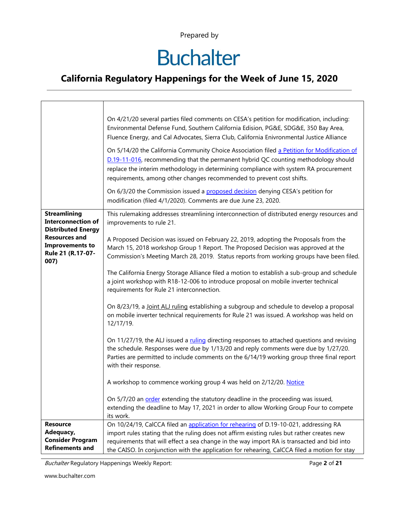# **Buchalter**

### **California Regulatory Happenings for the Week of June 15, 2020**

|                                                                               | On 4/21/20 several parties filed comments on CESA's petition for modification, including:<br>Environmental Defense Fund, Southern California Edision, PG&E, SDG&E, 350 Bay Area,<br>Fluence Energy, and Cal Advocates, Sierra Club, California Enivronmental Justice Alliance                                                                      |
|-------------------------------------------------------------------------------|----------------------------------------------------------------------------------------------------------------------------------------------------------------------------------------------------------------------------------------------------------------------------------------------------------------------------------------------------|
|                                                                               | On 5/14/20 the California Community Choice Association filed a Petition for Modification of<br>D.19-11-016, recommending that the permanent hybrid QC counting methodology should<br>replace the interim methodology in determining compliance with system RA procurement<br>requirements, among other changes recommended to prevent cost shifts. |
|                                                                               | On 6/3/20 the Commission issued a proposed decision denying CESA's petition for<br>modification (filed 4/1/2020). Comments are due June 23, 2020.                                                                                                                                                                                                  |
| <b>Streamlining</b><br><b>Interconnection of</b><br><b>Distributed Energy</b> | This rulemaking addresses streamlining interconnection of distributed energy resources and<br>improvements to rule 21.                                                                                                                                                                                                                             |
| <b>Resources and</b><br><b>Improvements to</b><br>Rule 21 (R.17-07-<br>007)   | A Proposed Decision was issued on February 22, 2019, adopting the Proposals from the<br>March 15, 2018 workshop Group 1 Report. The Proposed Decision was approved at the<br>Commission's Meeting March 28, 2019. Status reports from working groups have been filed.                                                                              |
|                                                                               | The California Energy Storage Alliance filed a motion to establish a sub-group and schedule<br>a joint workshop with R18-12-006 to introduce proposal on mobile inverter technical<br>requirements for Rule 21 interconnection.                                                                                                                    |
|                                                                               | On 8/23/19, a <i>Joint ALJ ruling</i> establishing a subgroup and schedule to develop a proposal<br>on mobile inverter technical requirements for Rule 21 was issued. A workshop was held on<br>12/17/19.                                                                                                                                          |
|                                                                               | On 11/27/19, the ALJ issued a ruling directing responses to attached questions and revising<br>the schedule. Responses were due by 1/13/20 and reply comments were due by 1/27/20.<br>Parties are permitted to include comments on the 6/14/19 working group three final report<br>with their response.                                            |
|                                                                               | A workshop to commence working group 4 was held on 2/12/20. Notice                                                                                                                                                                                                                                                                                 |
|                                                                               | On 5/7/20 an order extending the statutory deadline in the proceeding was issued,<br>extending the deadline to May 17, 2021 in order to allow Working Group Four to compete<br>its work.                                                                                                                                                           |
| <b>Resource</b>                                                               | On 10/24/19, CalCCA filed an application for rehearing of D.19-10-021, addressing RA                                                                                                                                                                                                                                                               |
| Adequacy,                                                                     | import rules stating that the ruling does not affirm existing rules but rather creates new                                                                                                                                                                                                                                                         |
| <b>Consider Program</b>                                                       | requirements that will effect a sea change in the way import RA is transacted and bid into                                                                                                                                                                                                                                                         |
| <b>Refinements and</b>                                                        | the CAISO. In conjunction with the application for rehearing, CaICCA filed a motion for stay                                                                                                                                                                                                                                                       |

Buchalter Regulatory Happenings Weekly Report: Page **2** of **21**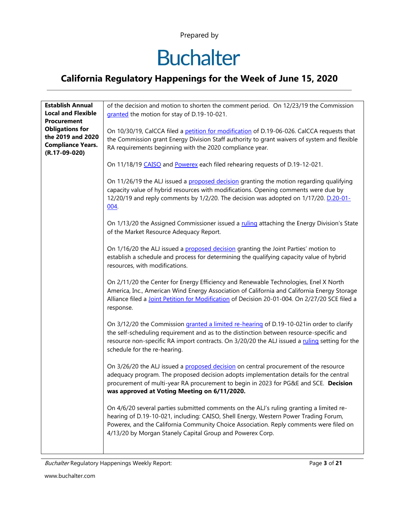## **Buchalter**

### **California Regulatory Happenings for the Week of June 15, 2020**

| On 10/30/19, CalCCA filed a petition for modification of D.19-06-026. CalCCA requests that                                                                                                                                                                                            |
|---------------------------------------------------------------------------------------------------------------------------------------------------------------------------------------------------------------------------------------------------------------------------------------|
| the Commission grant Energy Division Staff authority to grant waivers of system and flexible                                                                                                                                                                                          |
|                                                                                                                                                                                                                                                                                       |
|                                                                                                                                                                                                                                                                                       |
| On 11/18/19 CAISO and Powerex each filed rehearing requests of D.19-12-021.                                                                                                                                                                                                           |
| On 11/26/19 the ALJ issued a proposed decision granting the motion regarding qualifying<br>capacity value of hybrid resources with modifications. Opening comments were due by<br>12/20/19 and reply comments by 1/2/20. The decision was adopted on 1/17/20. D.20-01-                |
| On 1/13/20 the Assigned Commissioner issued a ruling attaching the Energy Division's State                                                                                                                                                                                            |
| On 1/16/20 the ALJ issued a proposed decision granting the Joint Parties' motion to<br>establish a schedule and process for determining the qualifying capacity value of hybrid                                                                                                       |
| On 2/11/20 the Center for Energy Efficiency and Renewable Technologies, Enel X North<br>America, Inc., American Wind Energy Association of California and California Energy Storage<br>Alliance filed a Joint Petition for Modification of Decision 20-01-004. On 2/27/20 SCE filed a |
| On 3/12/20 the Commission granted a limited re-hearing of D.19-10-021in order to clarify<br>the self-scheduling requirement and as to the distinction between resource-specific and<br>resource non-specific RA import contracts. On 3/20/20 the ALJ issued a ruling setting for the  |
| On 3/26/20 the ALJ issued a proposed decision on central procurement of the resource<br>adequacy program. The proposed decision adopts implementation details for the central<br>procurement of multi-year RA procurement to begin in 2023 for PG&E and SCE. Decision                 |
| On 4/6/20 several parties submitted comments on the ALJ's ruling granting a limited re-<br>hearing of D.19-10-021, including: CAISO, Shell Energy, Western Power Trading Forum,<br>Powerex, and the California Community Choice Association. Reply comments were filed on             |
|                                                                                                                                                                                                                                                                                       |

Buchalter Regulatory Happenings Weekly Report: Page **3** of **21**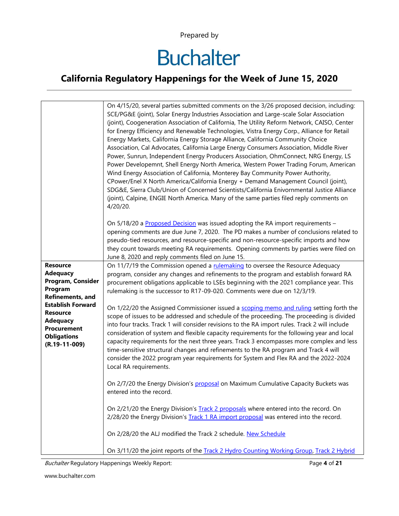# **Buchalter**

### **California Regulatory Happenings for the Week of June 15, 2020**

|                                                                                                                                                                                                                         | On 4/15/20, several parties submitted comments on the 3/26 proposed decision, including:<br>SCE/PG&E (joint), Solar Energy Industries Association and Large-scale Solar Association<br>(joint), Coogeneration Association of California, The Utility Reform Network, CAISO, Center<br>for Energy Efficiency and Renewable Technologies, Vistra Energy Corp., Alliance for Retail<br>Energy Markets, California Energy Storage Alliance, California Community Choice<br>Association, Cal Advocates, California Large Energy Consumers Association, Middle River<br>Power, Sunrun, Independent Energy Producers Association, OhmConnect, NRG Energy, LS<br>Power Developemnt, Shell Energy North America, Western Power Trading Forum, American<br>Wind Energy Association of California, Monterey Bay Community Power Authority,<br>CPower/Enel X North America/California Energy + Demand Management Council (joint),<br>SDG&E, Sierra Club/Union of Concerned Scientists/California Enivornmental Justice Alliance<br>(joint), Calpine, ENGIE North America. Many of the same parties filed reply comments on<br>4/20/20. |
|-------------------------------------------------------------------------------------------------------------------------------------------------------------------------------------------------------------------------|----------------------------------------------------------------------------------------------------------------------------------------------------------------------------------------------------------------------------------------------------------------------------------------------------------------------------------------------------------------------------------------------------------------------------------------------------------------------------------------------------------------------------------------------------------------------------------------------------------------------------------------------------------------------------------------------------------------------------------------------------------------------------------------------------------------------------------------------------------------------------------------------------------------------------------------------------------------------------------------------------------------------------------------------------------------------------------------------------------------------------|
|                                                                                                                                                                                                                         | On 5/18/20 a Proposed Decision was issued adopting the RA import requirements -<br>opening comments are due June 7, 2020. The PD makes a number of conclusions related to<br>pseudo-tied resources, and resource-specific and non-resource-specific imports and how<br>they count towards meeting RA requirements. Opening comments by parties were filed on<br>June 8, 2020 and reply comments filed on June 15.                                                                                                                                                                                                                                                                                                                                                                                                                                                                                                                                                                                                                                                                                                          |
| <b>Resource</b><br><b>Adequacy</b><br>Program, Consider<br>Program<br>Refinements, and<br><b>Establish Forward</b><br><b>Resource</b><br><b>Adequacy</b><br><b>Procurement</b><br><b>Obligations</b><br>$(R.19-11-009)$ | On 11/7/19 the Commission opened a rulemaking to oversee the Resource Adequacy<br>program, consider any changes and refinements to the program and establish forward RA<br>procurement obligations applicable to LSEs beginning with the 2021 compliance year. This<br>rulemaking is the successor to R17-09-020. Comments were due on 12/3/19.                                                                                                                                                                                                                                                                                                                                                                                                                                                                                                                                                                                                                                                                                                                                                                            |
|                                                                                                                                                                                                                         | On 1/22/20 the Assigned Commissioner issued a scoping memo and ruling setting forth the<br>scope of issues to be addressed and schedule of the proceeding. The proceeding is divided<br>into four tracks. Track 1 will consider revisions to the RA import rules. Track 2 will include<br>consideration of system and flexible capacity requirements for the following year and local<br>capacity requirements for the next three years. Track 3 encompasses more complex and less<br>time-sensitive structural changes and refinements to the RA program and Track 4 will<br>consider the 2022 program year requirements for System and Flex RA and the 2022-2024<br>Local RA requirements.                                                                                                                                                                                                                                                                                                                                                                                                                               |
|                                                                                                                                                                                                                         | On 2/7/20 the Energy Division's proposal on Maximum Cumulative Capacity Buckets was<br>entered into the record.                                                                                                                                                                                                                                                                                                                                                                                                                                                                                                                                                                                                                                                                                                                                                                                                                                                                                                                                                                                                            |
|                                                                                                                                                                                                                         | On 2/21/20 the Energy Division's Track 2 proposals where entered into the record. On<br>2/28/20 the Energy Division's Track 1 RA import proposal was entered into the record.                                                                                                                                                                                                                                                                                                                                                                                                                                                                                                                                                                                                                                                                                                                                                                                                                                                                                                                                              |
|                                                                                                                                                                                                                         | On 2/28/20 the ALJ modified the Track 2 schedule. New Schedule                                                                                                                                                                                                                                                                                                                                                                                                                                                                                                                                                                                                                                                                                                                                                                                                                                                                                                                                                                                                                                                             |
|                                                                                                                                                                                                                         | On 3/11/20 the joint reports of the Track 2 Hydro Counting Working Group, Track 2 Hybrid                                                                                                                                                                                                                                                                                                                                                                                                                                                                                                                                                                                                                                                                                                                                                                                                                                                                                                                                                                                                                                   |

Buchalter Regulatory Happenings Weekly Report: Page **4** of **21**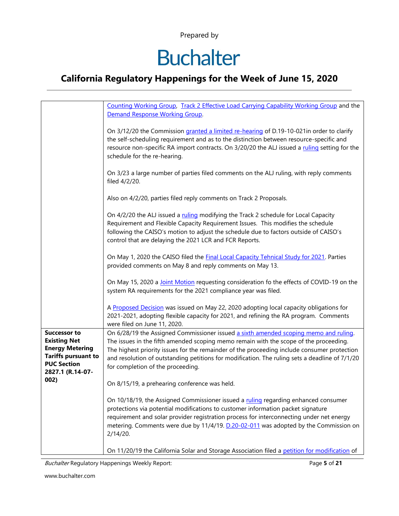# **Buchalter**

### **California Regulatory Happenings for the Week of June 15, 2020**

|                                                                                                                                                      | Counting Working Group, Track 2 Effective Load Carrying Capability Working Group and the                                                                                                                                                                                                                                                                                                                            |
|------------------------------------------------------------------------------------------------------------------------------------------------------|---------------------------------------------------------------------------------------------------------------------------------------------------------------------------------------------------------------------------------------------------------------------------------------------------------------------------------------------------------------------------------------------------------------------|
|                                                                                                                                                      | Demand Response Working Group.                                                                                                                                                                                                                                                                                                                                                                                      |
|                                                                                                                                                      |                                                                                                                                                                                                                                                                                                                                                                                                                     |
|                                                                                                                                                      | On 3/12/20 the Commission granted a limited re-hearing of D.19-10-021in order to clarify<br>the self-scheduling requirement and as to the distinction between resource-specific and<br>resource non-specific RA import contracts. On 3/20/20 the ALJ issued a ruling setting for the<br>schedule for the re-hearing.                                                                                                |
|                                                                                                                                                      | On 3/23 a large number of parties filed comments on the ALJ ruling, with reply comments<br>filed 4/2/20.                                                                                                                                                                                                                                                                                                            |
|                                                                                                                                                      | Also on 4/2/20, parties filed reply comments on Track 2 Proposals.                                                                                                                                                                                                                                                                                                                                                  |
|                                                                                                                                                      | On 4/2/20 the ALJ issued a ruling modifying the Track 2 schedule for Local Capacity<br>Requirement and Flexible Capacity Requirement Issues. This modifies the schedule<br>following the CAISO's motion to adjust the schedule due to factors outside of CAISO's<br>control that are delaying the 2021 LCR and FCR Reports.                                                                                         |
|                                                                                                                                                      | On May 1, 2020 the CAISO filed the <b>Final Local Capacity Tehnical Study for 2021</b> . Parties<br>provided comments on May 8 and reply comments on May 13.                                                                                                                                                                                                                                                        |
|                                                                                                                                                      | On May 15, 2020 a Joint Motion requesting consideration fo the effects of COVID-19 on the<br>system RA requirements for the 2021 compliance year was filed.                                                                                                                                                                                                                                                         |
|                                                                                                                                                      | A Proposed Decision was issued on May 22, 2020 adopting local capacity obligations for<br>2021-2021, adopting flexible capacity for 2021, and refining the RA program. Comments<br>were filed on June 11, 2020.                                                                                                                                                                                                     |
| <b>Successor to</b><br><b>Existing Net</b><br><b>Energy Metering</b><br><b>Tariffs pursuant to</b><br><b>PUC Section</b><br>2827.1 (R.14-07-<br>002) | On 6/28/19 the Assigned Commissioner issued a sixth amended scoping memo and ruling.<br>The issues in the fifth amended scoping memo remain with the scope of the proceeding.<br>The highest priority issues for the remainder of the proceeding include consumer protection<br>and resolution of outstanding petitions for modification. The ruling sets a deadline of 7/1/20<br>for completion of the proceeding. |
|                                                                                                                                                      | On 8/15/19, a prehearing conference was held.                                                                                                                                                                                                                                                                                                                                                                       |
|                                                                                                                                                      | On 10/18/19, the Assigned Commissioner issued a ruling regarding enhanced consumer<br>protections via potential modifications to customer information packet signature<br>requirement and solar provider registration process for interconnecting under net energy<br>metering. Comments were due by 11/4/19. D.20-02-011 was adopted by the Commission on<br>2/14/20.                                              |
|                                                                                                                                                      | On 11/20/19 the California Solar and Storage Association filed a petition for modification of                                                                                                                                                                                                                                                                                                                       |

Buchalter Regulatory Happenings Weekly Report: Page **5** of **21**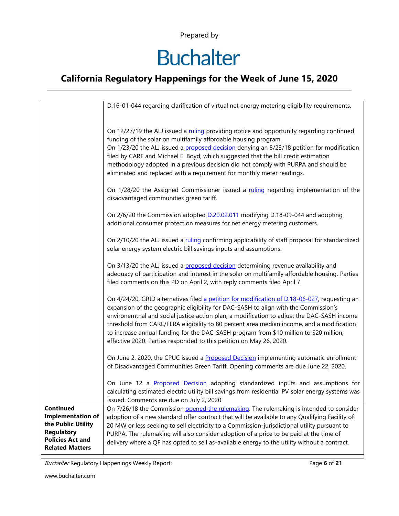# **Buchalter**

### **California Regulatory Happenings for the Week of June 15, 2020**

|                                                                                                                                              | D.16-01-044 regarding clarification of virtual net energy metering eligibility requirements.                                                                                                                                                                                                                                                                                                                                                                                                                                                     |
|----------------------------------------------------------------------------------------------------------------------------------------------|--------------------------------------------------------------------------------------------------------------------------------------------------------------------------------------------------------------------------------------------------------------------------------------------------------------------------------------------------------------------------------------------------------------------------------------------------------------------------------------------------------------------------------------------------|
|                                                                                                                                              |                                                                                                                                                                                                                                                                                                                                                                                                                                                                                                                                                  |
|                                                                                                                                              | On 12/27/19 the ALJ issued a ruling providing notice and opportunity regarding continued<br>funding of the solar on multifamily affordable housing program.<br>On 1/23/20 the ALJ issued a proposed decision denying an 8/23/18 petition for modification<br>filed by CARE and Michael E. Boyd, which suggested that the bill credit estimation<br>methodology adopted in a previous decision did not comply with PURPA and should be<br>eliminated and replaced with a requirement for monthly meter readings.                                  |
|                                                                                                                                              | On 1/28/20 the Assigned Commissioner issued a ruling regarding implementation of the<br>disadvantaged communities green tariff.                                                                                                                                                                                                                                                                                                                                                                                                                  |
|                                                                                                                                              | On 2/6/20 the Commission adopted <b>D.20.02.011</b> modifying D.18-09-044 and adopting<br>additional consumer protection measures for net energy metering customers.                                                                                                                                                                                                                                                                                                                                                                             |
|                                                                                                                                              | On 2/10/20 the ALJ issued a ruling confirming applicability of staff proposal for standardized<br>solar energy system electric bill savings inputs and assumptions.                                                                                                                                                                                                                                                                                                                                                                              |
|                                                                                                                                              | On 3/13/20 the ALJ issued a proposed decision determining revenue availability and<br>adequacy of participation and interest in the solar on multifamily affordable housing. Parties<br>filed comments on this PD on April 2, with reply comments filed April 7.                                                                                                                                                                                                                                                                                 |
|                                                                                                                                              | On 4/24/20, GRID alternatives filed a petition for modification of D.18-06-027, requesting an<br>expansion of the geographic eligibility for DAC-SASH to align with the Commission's<br>environemtnal and social justice action plan, a modification to adjust the DAC-SASH income<br>threshold from CARE/FERA eligibility to 80 percent area median income, and a modification<br>to increase annual funding for the DAC-SASH program from \$10 million to \$20 million,<br>effective 2020. Parties responded to this petition on May 26, 2020. |
|                                                                                                                                              | On June 2, 2020, the CPUC issued a <b>Proposed Decision</b> implementing automatic enrollment<br>of Disadvantaged Communities Green Tariff. Opening comments are due June 22, 2020.                                                                                                                                                                                                                                                                                                                                                              |
|                                                                                                                                              | On June 12 a Proposed Decision adopting standardized inputs and assumptions for<br>calculating estimated electric utility bill savings from residential PV solar energy systems was<br>issued. Comments are due on July 2, 2020.                                                                                                                                                                                                                                                                                                                 |
| <b>Continued</b><br><b>Implementation of</b><br>the Public Utility<br><b>Regulatory</b><br><b>Policies Act and</b><br><b>Related Matters</b> | On 7/26/18 the Commission opened the rulemaking. The rulemaking is intended to consider<br>adoption of a new standard offer contract that will be available to any Qualifying Facility of<br>20 MW or less seeking to sell electricity to a Commission-jurisdictional utility pursuant to<br>PURPA. The rulemaking will also consider adoption of a price to be paid at the time of<br>delivery where a QF has opted to sell as-available energy to the utility without a contract.                                                              |

Buchalter Regulatory Happenings Weekly Report: Page **6** of **21**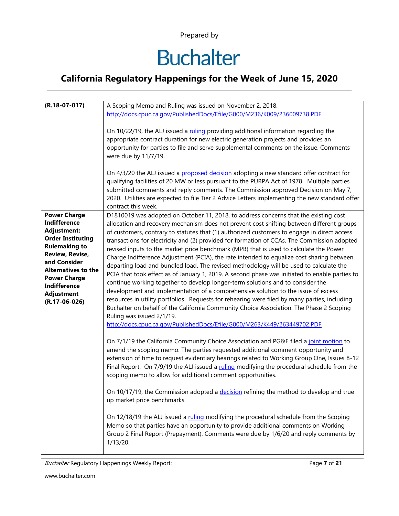# **Buchalter**

### **California Regulatory Happenings for the Week of June 15, 2020**

| $(R.18-07-017)$            | A Scoping Memo and Ruling was issued on November 2, 2018.                                      |
|----------------------------|------------------------------------------------------------------------------------------------|
|                            | http://docs.cpuc.ca.gov/PublishedDocs/Efile/G000/M236/K009/236009738.PDF                       |
|                            |                                                                                                |
|                            |                                                                                                |
|                            | On 10/22/19, the ALJ issued a ruling providing additional information regarding the            |
|                            | appropriate contract duration for new electric generation projects and provides an             |
|                            | opportunity for parties to file and serve supplemental comments on the issue. Comments         |
|                            | were due by 11/7/19.                                                                           |
|                            |                                                                                                |
|                            | On 4/3/20 the ALJ issued a proposed decision adopting a new standard offer contract for        |
|                            |                                                                                                |
|                            | qualifying facilities of 20 MW or less pursuant to the PURPA Act of 1978. Multiple parties     |
|                            | submitted comments and reply comments. The Commission approved Decision on May 7,              |
|                            | 2020. Utilities are expected to file Tier 2 Advice Letters implementing the new standard offer |
|                            | contract this week.                                                                            |
| <b>Power Charge</b>        | D1810019 was adopted on October 11, 2018, to address concerns that the existing cost           |
| <b>Indifference</b>        |                                                                                                |
|                            | allocation and recovery mechanism does not prevent cost shifting between different groups      |
| Adjustment:                | of customers, contrary to statutes that (1) authorized customers to engage in direct access    |
| <b>Order Instituting</b>   | transactions for electricity and (2) provided for formation of CCAs. The Commission adopted    |
| <b>Rulemaking to</b>       | revised inputs to the market price benchmark (MPB) that is used to calculate the Power         |
| <b>Review, Revise,</b>     | Charge Indifference Adjustment (PCIA), the rate intended to equalize cost sharing between      |
| and Consider               | departing load and bundled load. The revised methodology will be used to calculate the         |
| <b>Alternatives to the</b> | PCIA that took effect as of January 1, 2019. A second phase was initiated to enable parties to |
| <b>Power Charge</b>        |                                                                                                |
| <b>Indifference</b>        | continue working together to develop longer-term solutions and to consider the                 |
| <b>Adjustment</b>          | development and implementation of a comprehensive solution to the issue of excess              |
| $(R.17-06-026)$            | resources in utility portfolios. Requests for rehearing were filed by many parties, including  |
|                            | Buchalter on behalf of the California Community Choice Association. The Phase 2 Scoping        |
|                            | Ruling was issued 2/1/19.                                                                      |
|                            | http://docs.cpuc.ca.gov/PublishedDocs/Efile/G000/M263/K449/263449702.PDF                       |
|                            |                                                                                                |
|                            |                                                                                                |
|                            | On 7/1/19 the California Community Choice Association and PG&E filed a joint motion to         |
|                            | amend the scoping memo. The parties requested additional comment opportunity and               |
|                            | extension of time to request evidentiary hearings related to Working Group One, Issues 8-12    |
|                            | Final Report. On 7/9/19 the ALJ issued a ruling modifying the procedural schedule from the     |
|                            | scoping memo to allow for additional comment opportunities.                                    |
|                            |                                                                                                |
|                            | On 10/17/19, the Commission adopted a decision refining the method to develop and true         |
|                            |                                                                                                |
|                            | up market price benchmarks.                                                                    |
|                            |                                                                                                |
|                            | On 12/18/19 the ALJ issued a ruling modifying the procedural schedule from the Scoping         |
|                            | Memo so that parties have an opportunity to provide additional comments on Working             |
|                            | Group 2 Final Report (Prepayment). Comments were due by 1/6/20 and reply comments by           |
|                            | 1/13/20.                                                                                       |
|                            |                                                                                                |

Buchalter Regulatory Happenings Weekly Report: Page **7** of **21**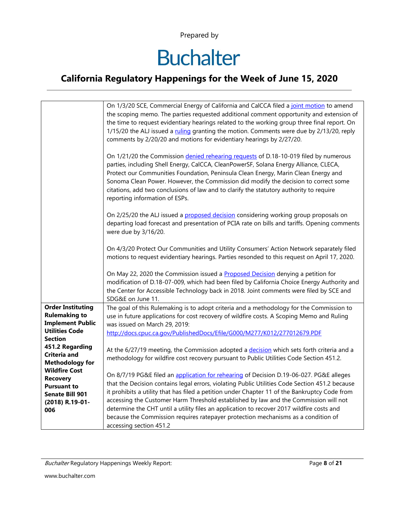# **Buchalter**

### **California Regulatory Happenings for the Week of June 15, 2020**

|                                        | On 1/3/20 SCE, Commercial Energy of California and CalCCA filed a joint motion to amend<br>the scoping memo. The parties requested additional comment opportunity and extension of<br>the time to request evidentiary hearings related to the working group three final report. On<br>1/15/20 the ALJ issued a ruling granting the motion. Comments were due by 2/13/20, reply<br>comments by 2/20/20 and motions for evidentiary hearings by 2/27/20.                                  |
|----------------------------------------|-----------------------------------------------------------------------------------------------------------------------------------------------------------------------------------------------------------------------------------------------------------------------------------------------------------------------------------------------------------------------------------------------------------------------------------------------------------------------------------------|
|                                        | On 1/21/20 the Commission denied rehearing requests of D.18-10-019 filed by numerous<br>parties, including Shell Energy, CalCCA, CleanPowerSF, Solana Energy Alliance, CLECA,<br>Protect our Communities Foundation, Peninsula Clean Energy, Marin Clean Energy and<br>Sonoma Clean Power. However, the Commission did modify the decision to correct some<br>citations, add two conclusions of law and to clarify the statutory authority to require<br>reporting information of ESPs. |
|                                        | On 2/25/20 the ALJ issued a proposed decision considering working group proposals on<br>departing load forecast and presentation of PCIA rate on bills and tariffs. Opening comments<br>were due by 3/16/20.                                                                                                                                                                                                                                                                            |
|                                        | On 4/3/20 Protect Our Communities and Utility Consumers' Action Network separately filed<br>motions to request evidentiary hearings. Parties resonded to this request on April 17, 2020.                                                                                                                                                                                                                                                                                                |
|                                        | On May 22, 2020 the Commission issued a Proposed Decision denying a petition for<br>modification of D.18-07-009, which had been filed by California Choice Energy Authority and<br>the Center for Accessible Technology back in 2018. Joint comments were filed by SCE and<br>SDG&E on June 11.                                                                                                                                                                                         |
| <b>Order Instituting</b>               | The goal of this Rulemaking is to adopt criteria and a methodology for the Commission to                                                                                                                                                                                                                                                                                                                                                                                                |
| <b>Rulemaking to</b>                   | use in future applications for cost recovery of wildfire costs. A Scoping Memo and Ruling                                                                                                                                                                                                                                                                                                                                                                                               |
| <b>Implement Public</b>                | was issued on March 29, 2019:                                                                                                                                                                                                                                                                                                                                                                                                                                                           |
| <b>Utilities Code</b>                  | http://docs.cpuc.ca.gov/PublishedDocs/Efile/G000/M277/K012/277012679.PDF                                                                                                                                                                                                                                                                                                                                                                                                                |
| <b>Section</b>                         |                                                                                                                                                                                                                                                                                                                                                                                                                                                                                         |
| 451.2 Regarding<br><b>Criteria and</b> | At the 6/27/19 meeting, the Commission adopted a decision which sets forth criteria and a                                                                                                                                                                                                                                                                                                                                                                                               |
| <b>Methodology for</b>                 | methodology for wildfire cost recovery pursuant to Public Utilities Code Section 451.2.                                                                                                                                                                                                                                                                                                                                                                                                 |
| <b>Wildfire Cost</b>                   |                                                                                                                                                                                                                                                                                                                                                                                                                                                                                         |
| <b>Recovery</b>                        | On 8/7/19 PG&E filed an application for rehearing of Decision D.19-06-027. PG&E alleges                                                                                                                                                                                                                                                                                                                                                                                                 |
| <b>Pursuant to</b>                     | that the Decision contains legal errors, violating Public Utilities Code Section 451.2 because                                                                                                                                                                                                                                                                                                                                                                                          |
| <b>Senate Bill 901</b>                 | it prohibits a utility that has filed a petition under Chapter 11 of the Bankruptcy Code from                                                                                                                                                                                                                                                                                                                                                                                           |
| (2018) R.19-01-                        | accessing the Customer Harm Threshold established by law and the Commission will not                                                                                                                                                                                                                                                                                                                                                                                                    |
| 006                                    | determine the CHT until a utility files an application to recover 2017 wildfire costs and                                                                                                                                                                                                                                                                                                                                                                                               |
|                                        | because the Commission requires ratepayer protection mechanisms as a condition of<br>accessing section 451.2                                                                                                                                                                                                                                                                                                                                                                            |

Buchalter Regulatory Happenings Weekly Report: Page **8** of **21**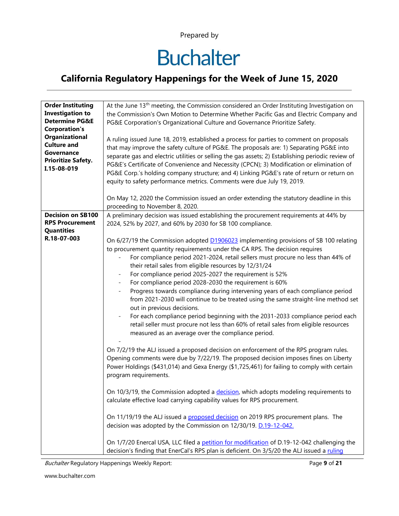# **Buchalter**

### **California Regulatory Happenings for the Week of June 15, 2020**

| <b>Order Instituting</b>  | At the June 13 <sup>th</sup> meeting, the Commission considered an Order Instituting Investigation on |
|---------------------------|-------------------------------------------------------------------------------------------------------|
| <b>Investigation to</b>   | the Commission's Own Motion to Determine Whether Pacific Gas and Electric Company and                 |
| <b>Determine PG&amp;E</b> | PG&E Corporation's Organizational Culture and Governance Prioritize Safety.                           |
| <b>Corporation's</b>      |                                                                                                       |
| <b>Organizational</b>     | A ruling issued June 18, 2019, established a process for parties to comment on proposals              |
| <b>Culture and</b>        | that may improve the safety culture of PG&E. The proposals are: 1) Separating PG&E into               |
| Governance                | separate gas and electric utilities or selling the gas assets; 2) Establishing periodic review of     |
| <b>Prioritize Safety.</b> | PG&E's Certificate of Convenience and Necessity (CPCN); 3) Modification or elimination of             |
| I.15-08-019               | PG&E Corp.'s holding company structure; and 4) Linking PG&E's rate of return or return on             |
|                           | equity to safety performance metrics. Comments were due July 19, 2019.                                |
|                           |                                                                                                       |
|                           | On May 12, 2020 the Commission issued an order extending the statutory deadline in this               |
|                           | proceeding to November 8, 2020.                                                                       |
| <b>Decision on SB100</b>  | A preliminary decision was issued establishing the procurement requirements at 44% by                 |
| <b>RPS Procurement</b>    | 2024, 52% by 2027, and 60% by 2030 for SB 100 compliance.                                             |
| <b>Quantities</b>         |                                                                                                       |
| R.18-07-003               | On 6/27/19 the Commission adopted <b>D1906023</b> implementing provisions of SB 100 relating          |
|                           | to procurement quantity requirements under the CA RPS. The decision requires                          |
|                           | For compliance period 2021-2024, retail sellers must procure no less than 44% of                      |
|                           | their retail sales from eligible resources by 12/31/24                                                |
|                           | For compliance period 2025-2027 the requirement is 52%<br>$\overline{\phantom{0}}$                    |
|                           |                                                                                                       |
|                           | For compliance period 2028-2030 the requirement is 60%                                                |
|                           | Progress towards compliance during intervening years of each compliance period                        |
|                           | from 2021-2030 will continue to be treated using the same straight-line method set                    |
|                           | out in previous decisions.                                                                            |
|                           | For each compliance period beginning with the 2031-2033 compliance period each                        |
|                           | retail seller must procure not less than 60% of retail sales from eligible resources                  |
|                           | measured as an average over the compliance period.                                                    |
|                           |                                                                                                       |
|                           | On 7/2/19 the ALJ issued a proposed decision on enforcement of the RPS program rules.                 |
|                           | Opening comments were due by 7/22/19. The proposed decision imposes fines on Liberty                  |
|                           | Power Holdings (\$431,014) and Gexa Energy (\$1,725,461) for failing to comply with certain           |
|                           | program requirements.                                                                                 |
|                           |                                                                                                       |
|                           | On 10/3/19, the Commission adopted a decision, which adopts modeling requirements to                  |
|                           | calculate effective load carrying capability values for RPS procurement.                              |
|                           | On 11/19/19 the ALJ issued a proposed decision on 2019 RPS procurement plans. The                     |
|                           | decision was adopted by the Commission on 12/30/19. D.19-12-042.                                      |
|                           |                                                                                                       |
|                           | On 1/7/20 Enercal USA, LLC filed a petition for modification of D.19-12-042 challenging the           |
|                           | decision's finding that EnerCal's RPS plan is deficient. On 3/5/20 the ALJ issued a ruling            |

Buchalter Regulatory Happenings Weekly Report: Page **9** of **21**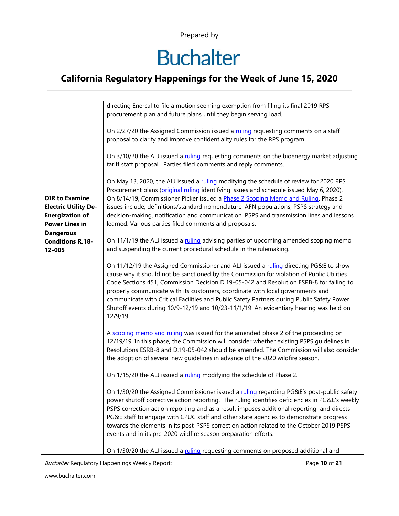# **Buchalter**

### **California Regulatory Happenings for the Week of June 15, 2020**

|                                                                                                         | directing Enercal to file a motion seeming exemption from filing its final 2019 RPS<br>procurement plan and future plans until they begin serving load.                                                                                                                                                                                                                                                                                                                                                                                                            |
|---------------------------------------------------------------------------------------------------------|--------------------------------------------------------------------------------------------------------------------------------------------------------------------------------------------------------------------------------------------------------------------------------------------------------------------------------------------------------------------------------------------------------------------------------------------------------------------------------------------------------------------------------------------------------------------|
|                                                                                                         | On 2/27/20 the Assigned Commission issued a ruling requesting comments on a staff<br>proposal to clarify and improve confidentiality rules for the RPS program.                                                                                                                                                                                                                                                                                                                                                                                                    |
|                                                                                                         | On 3/10/20 the ALJ issued a ruling requesting comments on the bioenergy market adjusting<br>tariff staff proposal. Parties filed comments and reply comments.                                                                                                                                                                                                                                                                                                                                                                                                      |
|                                                                                                         | On May 13, 2020, the ALJ issued a ruling modifying the schedule of review for 2020 RPS<br>Procurement plans (original ruling identifying issues and schedule issued May 6, 2020).                                                                                                                                                                                                                                                                                                                                                                                  |
| <b>OIR to Examine</b><br><b>Electric Utility De-</b><br><b>Energization of</b><br><b>Power Lines in</b> | On 8/14/19, Commissioner Picker issued a Phase 2 Scoping Memo and Ruling. Phase 2<br>issues include; definitions/standard nomenclature, AFN populations, PSPS strategy and<br>decision-making, notification and communication, PSPS and transmission lines and lessons<br>learned. Various parties filed comments and proposals.                                                                                                                                                                                                                                   |
| <b>Dangerous</b><br><b>Conditions R.18-</b><br>12-005                                                   | On 11/1/19 the ALJ issued a ruling advising parties of upcoming amended scoping memo<br>and suspending the current procedural schedule in the rulemaking.                                                                                                                                                                                                                                                                                                                                                                                                          |
|                                                                                                         | On 11/12/19 the Assigned Commissioner and ALJ issued a ruling directing PG&E to show<br>cause why it should not be sanctioned by the Commission for violation of Public Utilities<br>Code Sections 451, Commission Decision D.19-05-042 and Resolution ESRB-8 for failing to<br>properly communicate with its customers, coordinate with local governments and<br>communicate with Critical Facilities and Public Safety Partners during Public Safety Power<br>Shutoff events during 10/9-12/19 and 10/23-11/1/19. An evidentiary hearing was held on<br>12/9/19. |
|                                                                                                         | A scoping memo and ruling was issued for the amended phase 2 of the proceeding on<br>12/19/19. In this phase, the Commission will consider whether existing PSPS guidelines in<br>Resolutions ESRB-8 and D.19-05-042 should be amended. The Commission will also consider<br>the adoption of several new guidelines in advance of the 2020 wildfire season.                                                                                                                                                                                                        |
|                                                                                                         | On 1/15/20 the ALJ issued a ruling modifying the schedule of Phase 2.                                                                                                                                                                                                                                                                                                                                                                                                                                                                                              |
|                                                                                                         | On 1/30/20 the Assigned Commissioner issued a ruling regarding PG&E's post-public safety<br>power shutoff corrective action reporting. The ruling identifies deficiencies in PG&E's weekly<br>PSPS correction action reporting and as a result imposes additional reporting and directs<br>PG&E staff to engage with CPUC staff and other state agencies to demonstrate progress<br>towards the elements in its post-PSPS correction action related to the October 2019 PSPS<br>events and in its pre-2020 wildfire season preparation efforts.                    |
|                                                                                                         | On 1/30/20 the ALJ issued a ruling requesting comments on proposed additional and                                                                                                                                                                                                                                                                                                                                                                                                                                                                                  |

Buchalter Regulatory Happenings Weekly Report: Page **10** of **21**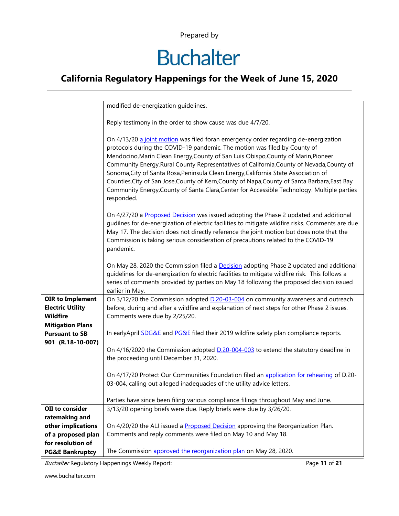# **Buchalter**

### **California Regulatory Happenings for the Week of June 15, 2020**

|                                                                                                  | modified de-energization guidelines.                                                                                                                                                                                                                                                                                                                                                                                                                                                                                                                                                                                                                     |
|--------------------------------------------------------------------------------------------------|----------------------------------------------------------------------------------------------------------------------------------------------------------------------------------------------------------------------------------------------------------------------------------------------------------------------------------------------------------------------------------------------------------------------------------------------------------------------------------------------------------------------------------------------------------------------------------------------------------------------------------------------------------|
|                                                                                                  | Reply testimony in the order to show cause was due 4/7/20.                                                                                                                                                                                                                                                                                                                                                                                                                                                                                                                                                                                               |
|                                                                                                  | On 4/13/20 a joint motion was filed foran emergency order regarding de-energization<br>protocols during the COVID-19 pandemic. The motion was filed by County of<br>Mendocino, Marin Clean Energy, County of San Luis Obispo, County of Marin, Pioneer<br>Community Energy, Rural County Representatives of California, County of Nevada, County of<br>Sonoma, City of Santa Rosa, Peninsula Clean Energy, California State Association of<br>Counties, City of San Jose, County of Kern, County of Napa, County of Santa Barbara, East Bay<br>Community Energy, County of Santa Clara, Center for Accessible Technology. Multiple parties<br>responded. |
|                                                                                                  | On 4/27/20 a Proposed Decision was issued adopting the Phase 2 updated and additional<br>gudilnes for de-energization of electric facilities to mitigate wildfire risks. Comments are due<br>May 17. The decision does not directly reference the joint motion but does note that the<br>Commission is taking serious consideration of precautions related to the COVID-19<br>pandemic.                                                                                                                                                                                                                                                                  |
|                                                                                                  | On May 28, 2020 the Commission filed a Decision adopting Phase 2 updated and additional<br>guidelines for de-energization fo electric facilities to mitigate wildfire risk. This follows a<br>series of comments provided by parties on May 18 following the proposed decision issued<br>earlier in May.                                                                                                                                                                                                                                                                                                                                                 |
| <b>OIR to Implement</b><br><b>Electric Utility</b><br><b>Wildfire</b><br><b>Mitigation Plans</b> | On 3/12/20 the Commission adopted <b>D.20-03-004</b> on community awareness and outreach<br>before, during and after a wildfire and explanation of next steps for other Phase 2 issues.<br>Comments were due by 2/25/20.                                                                                                                                                                                                                                                                                                                                                                                                                                 |
| <b>Pursuant to SB</b><br>901 (R.18-10-007)                                                       | In earlyApril <b>SDG&amp;E</b> and <b>PG&amp;E</b> filed their 2019 wildfire safety plan compliance reports.                                                                                                                                                                                                                                                                                                                                                                                                                                                                                                                                             |
|                                                                                                  | On 4/16/2020 the Commission adopted D.20-004-003 to extend the statutory deadline in<br>the proceeding until December 31, 2020.                                                                                                                                                                                                                                                                                                                                                                                                                                                                                                                          |
|                                                                                                  | On 4/17/20 Protect Our Communities Foundation filed an application for rehearing of D.20-<br>03-004, calling out alleged inadequacies of the utility advice letters.                                                                                                                                                                                                                                                                                                                                                                                                                                                                                     |
|                                                                                                  | Parties have since been filing various compliance filings throughout May and June.                                                                                                                                                                                                                                                                                                                                                                                                                                                                                                                                                                       |
| OII to consider                                                                                  | 3/13/20 opening briefs were due. Reply briefs were due by 3/26/20.                                                                                                                                                                                                                                                                                                                                                                                                                                                                                                                                                                                       |
| ratemaking and                                                                                   |                                                                                                                                                                                                                                                                                                                                                                                                                                                                                                                                                                                                                                                          |
| other implications                                                                               | On 4/20/20 the ALJ issued a Proposed Decision approving the Reorganization Plan.                                                                                                                                                                                                                                                                                                                                                                                                                                                                                                                                                                         |
| of a proposed plan                                                                               | Comments and reply comments were filed on May 10 and May 18.                                                                                                                                                                                                                                                                                                                                                                                                                                                                                                                                                                                             |
| for resolution of                                                                                |                                                                                                                                                                                                                                                                                                                                                                                                                                                                                                                                                                                                                                                          |
| <b>PG&amp;E Bankruptcy</b>                                                                       | The Commission approved the reorganization plan on May 28, 2020.                                                                                                                                                                                                                                                                                                                                                                                                                                                                                                                                                                                         |

Buchalter Regulatory Happenings Weekly Report: Page **11** of **21**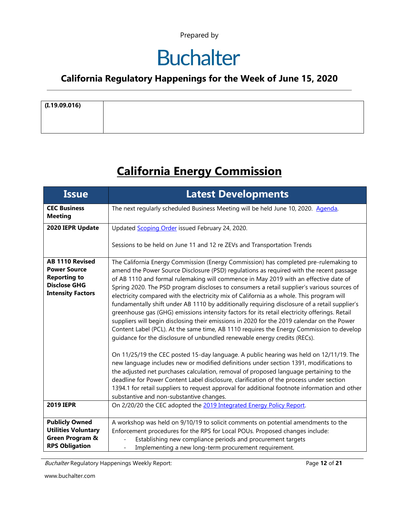### **Buchalter**

#### **California Regulatory Happenings for the Week of June 15, 2020**

| (I.19.09.016) |  |
|---------------|--|
|               |  |
|               |  |
|               |  |

### **California Energy Commission**

| <b>Issue</b>                                                                                                            | <b>Latest Developments</b>                                                                                                                                                                                                                                                                                                                                                                                                                                                                                                                                                                                                                                                                                                                                                                                                                                                                                                                                                                                                                                                                                                                                                                                                                                                                                                                                                                                                                                        |
|-------------------------------------------------------------------------------------------------------------------------|-------------------------------------------------------------------------------------------------------------------------------------------------------------------------------------------------------------------------------------------------------------------------------------------------------------------------------------------------------------------------------------------------------------------------------------------------------------------------------------------------------------------------------------------------------------------------------------------------------------------------------------------------------------------------------------------------------------------------------------------------------------------------------------------------------------------------------------------------------------------------------------------------------------------------------------------------------------------------------------------------------------------------------------------------------------------------------------------------------------------------------------------------------------------------------------------------------------------------------------------------------------------------------------------------------------------------------------------------------------------------------------------------------------------------------------------------------------------|
| <b>CEC Business</b><br><b>Meeting</b>                                                                                   | The next regularly scheduled Business Meeting will be held June 10, 2020. Agenda.                                                                                                                                                                                                                                                                                                                                                                                                                                                                                                                                                                                                                                                                                                                                                                                                                                                                                                                                                                                                                                                                                                                                                                                                                                                                                                                                                                                 |
| 2020 IEPR Update                                                                                                        | Updated Scoping Order issued February 24, 2020.                                                                                                                                                                                                                                                                                                                                                                                                                                                                                                                                                                                                                                                                                                                                                                                                                                                                                                                                                                                                                                                                                                                                                                                                                                                                                                                                                                                                                   |
|                                                                                                                         | Sessions to be held on June 11 and 12 re ZEVs and Transportation Trends                                                                                                                                                                                                                                                                                                                                                                                                                                                                                                                                                                                                                                                                                                                                                                                                                                                                                                                                                                                                                                                                                                                                                                                                                                                                                                                                                                                           |
| <b>AB 1110 Revised</b><br><b>Power Source</b><br><b>Reporting to</b><br><b>Disclose GHG</b><br><b>Intensity Factors</b> | The California Energy Commission (Energy Commission) has completed pre-rulemaking to<br>amend the Power Source Disclosure (PSD) regulations as required with the recent passage<br>of AB 1110 and formal rulemaking will commence in May 2019 with an effective date of<br>Spring 2020. The PSD program discloses to consumers a retail supplier's various sources of<br>electricity compared with the electricity mix of California as a whole. This program will<br>fundamentally shift under AB 1110 by additionally requiring disclosure of a retail supplier's<br>greenhouse gas (GHG) emissions intensity factors for its retail electricity offerings. Retail<br>suppliers will begin disclosing their emissions in 2020 for the 2019 calendar on the Power<br>Content Label (PCL). At the same time, AB 1110 requires the Energy Commission to develop<br>guidance for the disclosure of unbundled renewable energy credits (RECs).<br>On 11/25/19 the CEC posted 15-day language. A public hearing was held on 12/11/19. The<br>new language includes new or modified definitions under section 1391, modifications to<br>the adjusted net purchases calculation, removal of proposed language pertaining to the<br>deadline for Power Content Label disclosure, clarification of the process under section<br>1394.1 for retail suppliers to request approval for additional footnote information and other<br>substantive and non-substantive changes. |
| <b>2019 IEPR</b>                                                                                                        | On 2/20/20 the CEC adopted the 2019 Integrated Energy Policy Report.                                                                                                                                                                                                                                                                                                                                                                                                                                                                                                                                                                                                                                                                                                                                                                                                                                                                                                                                                                                                                                                                                                                                                                                                                                                                                                                                                                                              |
| <b>Publicly Owned</b><br><b>Utilities Voluntary</b><br>Green Program &<br><b>RPS Obligation</b>                         | A workshop was held on 9/10/19 to solicit comments on potential amendments to the<br>Enforcement procedures for the RPS for Local POUs. Proposed changes include:<br>Establishing new compliance periods and procurement targets<br>Implementing a new long-term procurement requirement.                                                                                                                                                                                                                                                                                                                                                                                                                                                                                                                                                                                                                                                                                                                                                                                                                                                                                                                                                                                                                                                                                                                                                                         |

Buchalter Regulatory Happenings Weekly Report: Page **12** of **21**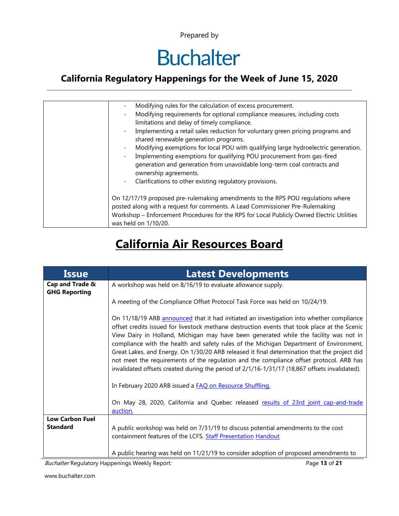## **Buchalter**

### **California Regulatory Happenings for the Week of June 15, 2020**

| Modifying rules for the calculation of excess procurement.                                                              |
|-------------------------------------------------------------------------------------------------------------------------|
| Modifying requirements for optional compliance measures, including costs                                                |
| limitations and delay of timely compliance.                                                                             |
| Implementing a retail sales reduction for voluntary green pricing programs and<br>shared renewable generation programs. |
|                                                                                                                         |
| Modifying exemptions for local POU with qualifying large hydroelectric generation.                                      |
| Implementing exemptions for qualifying POU procurement from gas-fired                                                   |
| generation and generation from unavoidable long-term coal contracts and                                                 |
| ownership agreements.                                                                                                   |
| Clarifications to other existing regulatory provisions.                                                                 |
|                                                                                                                         |
| On 12/17/19 proposed pre-rulemaking amendments to the RPS POU regulations where                                         |
| posted along with a request for comments. A Lead Commissioner Pre-Rulemaking                                            |
| Workshop - Enforcement Procedures for the RPS for Local Publicly Owned Electric Utilities                               |
| was held on 1/10/20.                                                                                                    |
|                                                                                                                         |

### **California Air Resources Board**

| <b>Issue</b>                            | <b>Latest Developments</b>                                                                                                                                                                                                                                                                                                                                                                                                                                                                                                                                                                                                                                              |
|-----------------------------------------|-------------------------------------------------------------------------------------------------------------------------------------------------------------------------------------------------------------------------------------------------------------------------------------------------------------------------------------------------------------------------------------------------------------------------------------------------------------------------------------------------------------------------------------------------------------------------------------------------------------------------------------------------------------------------|
| Cap and Trade &<br><b>GHG Reporting</b> | A workshop was held on 8/16/19 to evaluate allowance supply.                                                                                                                                                                                                                                                                                                                                                                                                                                                                                                                                                                                                            |
|                                         | A meeting of the Compliance Offset Protocol Task Force was held on 10/24/19.                                                                                                                                                                                                                                                                                                                                                                                                                                                                                                                                                                                            |
|                                         | On 11/18/19 ARB announced that it had initiated an investigation into whether compliance<br>offset credits issued for livestock methane destruction events that took place at the Scenic<br>View Dairy in Holland, Michigan may have been generated while the facility was not in<br>compliance with the health and safety rules of the Michigan Department of Environment,<br>Great Lakes, and Energy. On 1/30/20 ARB released it final determination that the project did<br>not meet the requirements of the regulation and the compliance offset protocol. ARB has<br>invalidated offsets created during the period of 2/1/16-1/31/17 (18,867 offsets invalidated). |
|                                         | In February 2020 ARB issued a FAQ on Resource Shuffling.                                                                                                                                                                                                                                                                                                                                                                                                                                                                                                                                                                                                                |
|                                         | On May 28, 2020, California and Quebec released results of 23rd joint cap-and-trade<br>auction.                                                                                                                                                                                                                                                                                                                                                                                                                                                                                                                                                                         |
| <b>Low Carbon Fuel</b>                  |                                                                                                                                                                                                                                                                                                                                                                                                                                                                                                                                                                                                                                                                         |
| <b>Standard</b>                         | A public workshop was held on 7/31/19 to discuss potential amendments to the cost                                                                                                                                                                                                                                                                                                                                                                                                                                                                                                                                                                                       |
|                                         | containment features of the LCFS. Staff Presentation Handout                                                                                                                                                                                                                                                                                                                                                                                                                                                                                                                                                                                                            |
|                                         | A public hearing was held on 11/21/19 to consider adoption of proposed amendments to                                                                                                                                                                                                                                                                                                                                                                                                                                                                                                                                                                                    |

Buchalter Regulatory Happenings Weekly Report: Page **13** of **21**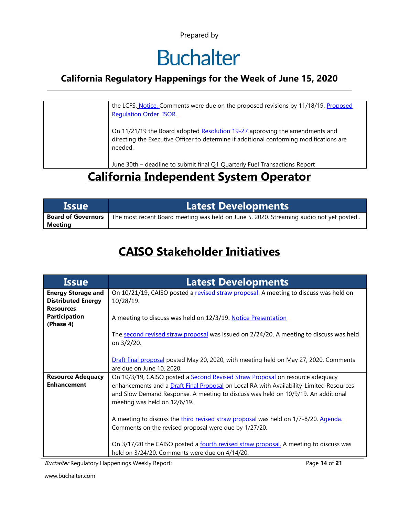### **Buchalter**

#### **California Regulatory Happenings for the Week of June 15, 2020**

| the LCFS. Notice. Comments were due on the proposed revisions by 11/18/19. Proposed<br><b>Regulation Order ISOR.</b>                                                              |
|-----------------------------------------------------------------------------------------------------------------------------------------------------------------------------------|
| On 11/21/19 the Board adopted Resolution 19-27 approving the amendments and<br>directing the Executive Officer to determine if additional conforming modifications are<br>needed. |
| June 30th - deadline to submit final Q1 Quarterly Fuel Transactions Report                                                                                                        |

### **California Independent System Operator**

| <b>Lissue</b>             | <b>Latest Developments</b>                                                             |
|---------------------------|----------------------------------------------------------------------------------------|
| <b>Board of Governors</b> | The most recent Board meeting was held on June 5, 2020. Streaming audio not yet posted |
| Meeting                   |                                                                                        |

### **CAISO Stakeholder Initiatives**

| <b>Issue</b>              | <b>Latest Developments</b>                                                              |
|---------------------------|-----------------------------------------------------------------------------------------|
| <b>Energy Storage and</b> | On 10/21/19, CAISO posted a revised straw proposal. A meeting to discuss was held on    |
| <b>Distributed Energy</b> | $10/28/19$ .                                                                            |
| <b>Resources</b>          |                                                                                         |
| <b>Participation</b>      | A meeting to discuss was held on 12/3/19. Notice Presentation                           |
| (Phase 4)                 |                                                                                         |
|                           | The second revised straw proposal was issued on 2/24/20. A meeting to discuss was held  |
|                           | on 3/2/20.                                                                              |
|                           |                                                                                         |
|                           | Draft final proposal posted May 20, 2020, with meeting held on May 27, 2020. Comments   |
|                           | are due on June 10, 2020.                                                               |
| <b>Resource Adequacy</b>  | On 10/3/19, CAISO posted a Second Revised Straw Proposal on resource adequacy           |
| <b>Enhancement</b>        | enhancements and a Draft Final Proposal on Local RA with Availability-Limited Resources |
|                           | and Slow Demand Response. A meeting to discuss was held on 10/9/19. An additional       |
|                           | meeting was held on 12/6/19.                                                            |
|                           |                                                                                         |
|                           | A meeting to discuss the third revised straw proposal was held on 1/7-8/20. Agenda.     |
|                           | Comments on the revised proposal were due by 1/27/20.                                   |
|                           |                                                                                         |
|                           | On 3/17/20 the CAISO posted a fourth revised straw proposal. A meeting to discuss was   |
|                           | held on 3/24/20. Comments were due on 4/14/20.                                          |

Buchalter Regulatory Happenings Weekly Report: Page **14** of **21**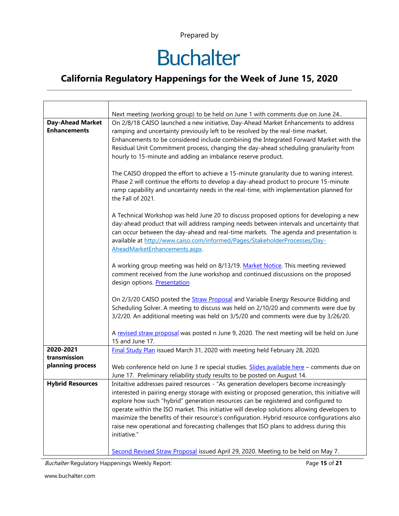# **Buchalter**

### **California Regulatory Happenings for the Week of June 15, 2020**

|                         | Next meeting (working group) to be held on June 1 with comments due on June 24                                                                                                   |
|-------------------------|----------------------------------------------------------------------------------------------------------------------------------------------------------------------------------|
| <b>Day-Ahead Market</b> | On 2/8/18 CAISO launched a new initiative, Day-Ahead Market Enhancements to address                                                                                              |
| <b>Enhancements</b>     | ramping and uncertainty previously left to be resolved by the real-time market.                                                                                                  |
|                         | Enhancements to be considered include combining the Integrated Forward Market with the                                                                                           |
|                         | Residual Unit Commitment process, changing the day-ahead scheduling granularity from                                                                                             |
|                         | hourly to 15-minute and adding an imbalance reserve product.                                                                                                                     |
|                         |                                                                                                                                                                                  |
|                         | The CAISO dropped the effort to achieve a 15-minute granularity due to waning interest.                                                                                          |
|                         | Phase 2 will continue the efforts to develop a day-ahead product to procure 15-minute<br>ramp capability and uncertainty needs in the real-time, with implementation planned for |
|                         | the Fall of 2021.                                                                                                                                                                |
|                         |                                                                                                                                                                                  |
|                         | A Technical Workshop was held June 20 to discuss proposed options for developing a new                                                                                           |
|                         | day-ahead product that will address ramping needs between intervals and uncertainty that                                                                                         |
|                         | can occur between the day-ahead and real-time markets. The agenda and presentation is                                                                                            |
|                         | available at http://www.caiso.com/informed/Pages/StakeholderProcesses/Day-                                                                                                       |
|                         | AheadMarketEnhancements.aspx.                                                                                                                                                    |
|                         |                                                                                                                                                                                  |
|                         | A working group meeting was held on 8/13/19. Market Notice. This meeting reviewed                                                                                                |
|                         | comment received from the June workshop and continued discussions on the proposed                                                                                                |
|                         | design options. Presentation                                                                                                                                                     |
|                         | On 2/3/20 CAISO posted the <b>Straw Proposal</b> and Variable Energy Resource Bidding and                                                                                        |
|                         | Scheduling Solver. A meeting to discuss was held on 2/10/20 and comments were due by                                                                                             |
|                         | 3/2/20. An additional meeting was held on 3/5/20 and comments were due by 3/26/20.                                                                                               |
|                         |                                                                                                                                                                                  |
|                         | A revised straw proposal was posted n June 9, 2020. The next meeting will be held on June                                                                                        |
|                         | 15 and June 17.                                                                                                                                                                  |
| 2020-2021               | Final Study Plan issued March 31, 2020 with meeting held February 28, 2020.                                                                                                      |
| transmission            |                                                                                                                                                                                  |
| planning process        | Web conference held on June 3 re special studies. Slides available here - comments due on                                                                                        |
|                         | June 17. Preliminary reliability study results to be posted on August 14.                                                                                                        |
| <b>Hybrid Resources</b> | Initaitive addresses paired resources - "As generation developers become increasingly                                                                                            |
|                         | interested in pairing energy storage with existing or proposed generation, this initiative will                                                                                  |
|                         | explore how such "hybrid" generation resources can be registered and configured to                                                                                               |
|                         | operate within the ISO market. This initiative will develop solutions allowing developers to                                                                                     |
|                         | maximize the benefits of their resource's configuration. Hybrid resource configurations also                                                                                     |
|                         | raise new operational and forecasting challenges that ISO plans to address during this<br>initiative."                                                                           |
|                         |                                                                                                                                                                                  |
|                         | Second Revised Straw Proposal issued April 29, 2020. Meeting to be held on May 7.                                                                                                |

Buchalter Regulatory Happenings Weekly Report: Page **15** of **21**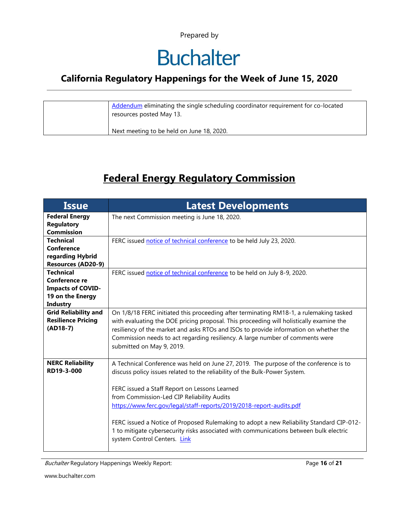## **Buchalter**

### **California Regulatory Happenings for the Week of June 15, 2020**

| Addendum eliminating the single scheduling coordinator requirement for co-located<br>resources posted May 13. |
|---------------------------------------------------------------------------------------------------------------|
| Next meeting to be held on June 18, 2020.                                                                     |

### **Federal Energy Regulatory Commission**

| <b>Latest Developments</b>                                                               |
|------------------------------------------------------------------------------------------|
| The next Commission meeting is June 18, 2020.                                            |
|                                                                                          |
|                                                                                          |
| FERC issued notice of technical conference to be held July 23, 2020.                     |
|                                                                                          |
|                                                                                          |
| FERC issued notice of technical conference to be held on July 8-9, 2020.                 |
|                                                                                          |
|                                                                                          |
|                                                                                          |
|                                                                                          |
| On 1/8/18 FERC initiated this proceeding after terminating RM18-1, a rulemaking tasked   |
| with evaluating the DOE pricing proposal. This proceeding will holistically examine the  |
| resiliency of the market and asks RTOs and ISOs to provide information on whether the    |
| Commission needs to act regarding resiliency. A large number of comments were            |
| submitted on May 9, 2019.                                                                |
|                                                                                          |
| A Technical Conference was held on June 27, 2019. The purpose of the conference is to    |
| discuss policy issues related to the reliability of the Bulk-Power System.               |
|                                                                                          |
| FERC issued a Staff Report on Lessons Learned                                            |
| from Commission-Led CIP Reliability Audits                                               |
| https://www.ferc.gov/legal/staff-reports/2019/2018-report-audits.pdf                     |
|                                                                                          |
| FERC issued a Notice of Proposed Rulemaking to adopt a new Reliability Standard CIP-012- |
| 1 to mitigate cybersecurity risks associated with communications between bulk electric   |
| system Control Centers. Link                                                             |
|                                                                                          |
|                                                                                          |

Buchalter Regulatory Happenings Weekly Report: Page **16** of **21**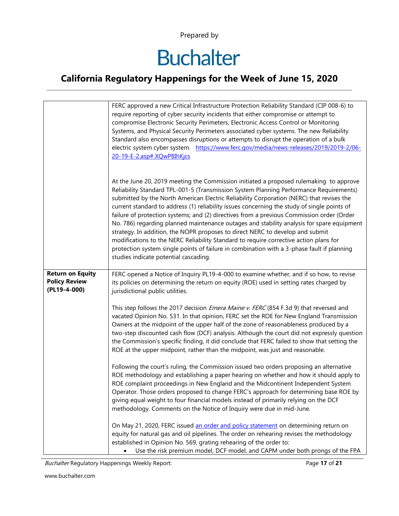# **Buchalter**

### **California Regulatory Happenings for the Week of June 15, 2020**

|                                                                 | FERC approved a new Critical Infrastructure Protection Reliability Standard (CIP 008-6) to<br>require reporting of cyber security incidents that either compromise or attempt to<br>compromise Electronic Security Perimeters, Electronic Access Control or Monitoring<br>Systems, and Physical Security Perimeters associated cyber systems. The new Reliability<br>Standard also encompasses disruptions or attempts to disrupt the operation of a bulk<br>electric system cyber system. https://www.ferc.gov/media/news-releases/2019/2019-2/06-<br>20-19-E-2.asp#.XQwP8IhKjcs                                                                                                                                                                                                                                                                                                      |
|-----------------------------------------------------------------|----------------------------------------------------------------------------------------------------------------------------------------------------------------------------------------------------------------------------------------------------------------------------------------------------------------------------------------------------------------------------------------------------------------------------------------------------------------------------------------------------------------------------------------------------------------------------------------------------------------------------------------------------------------------------------------------------------------------------------------------------------------------------------------------------------------------------------------------------------------------------------------|
|                                                                 | At the June 20, 2019 meeting the Commission initiated a proposed rulemaking to approve<br>Reliability Standard TPL-001-5 (Transmission System Planning Performance Requirements)<br>submitted by the North American Electric Reliability Corporation (NERC) that revises the<br>current standard to address (1) reliability issues concerning the study of single points of<br>failure of protection systems; and (2) directives from a previous Commission order (Order<br>No. 786) regarding planned maintenance outages and stability analysis for spare equipment<br>strategy. In addition, the NOPR proposes to direct NERC to develop and submit<br>modifications to the NERC Reliability Standard to require corrective action plans for<br>protection system single points of failure in combination with a 3-phase fault if planning<br>studies indicate potential cascading. |
| <b>Return on Equity</b><br><b>Policy Review</b><br>(PL19-4-000) | FERC opened a Notice of Inquiry PL19-4-000 to examine whether, and if so how, to revise<br>its policies on determining the return on equity (ROE) used in setting rates charged by<br>jurisdictional public utilities.                                                                                                                                                                                                                                                                                                                                                                                                                                                                                                                                                                                                                                                                 |
|                                                                 | This step follows the 2017 decision <i>Emera Maine v. FERC</i> (854 F.3d 9) that reversed and<br>vacated Opinion No. 531. In that opinion, FERC set the ROE for New England Transmission<br>Owners at the midpoint of the upper half of the zone of reasonableness produced by a<br>two-step discounted cash flow (DCF) analysis. Although the court did not expressly question<br>the Commission's specific finding, it did conclude that FERC failed to show that setting the<br>ROE at the upper midpoint, rather than the midpoint, was just and reasonable.                                                                                                                                                                                                                                                                                                                       |
|                                                                 | Following the court's ruling, the Commission issued two orders proposing an alternative<br>ROE methodology and establishing a paper hearing on whether and how it should apply to<br>ROE complaint proceedings in New England and the Midcontinent Independent System<br>Operator. Those orders proposed to change FERC's approach for determining base ROE by<br>giving equal weight to four financial models instead of primarily relying on the DCF<br>methodology. Comments on the Notice of Inquiry were due in mid-June.                                                                                                                                                                                                                                                                                                                                                         |
|                                                                 | On May 21, 2020, FERC issued an order and policy statement on determining return on<br>equity for natural gas and oil pipelines. The order on rehearing revises the methodology<br>established in Opinion No. 569, grating rehearing of the order to:<br>Use the risk premium model, DCF model, and CAPM under both prongs of the FPA<br>$\bullet$                                                                                                                                                                                                                                                                                                                                                                                                                                                                                                                                     |

Buchalter Regulatory Happenings Weekly Report: Page **17** of **21**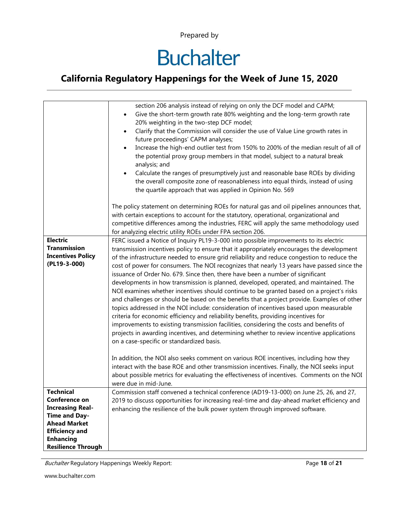# **Buchalter**

### **California Regulatory Happenings for the Week of June 15, 2020**

|                           | section 206 analysis instead of relying on only the DCF model and CAPM;<br>Give the short-term growth rate 80% weighting and the long-term growth rate                                                                                                                                                                                       |
|---------------------------|----------------------------------------------------------------------------------------------------------------------------------------------------------------------------------------------------------------------------------------------------------------------------------------------------------------------------------------------|
|                           | $\bullet$                                                                                                                                                                                                                                                                                                                                    |
|                           | 20% weighting in the two-step DCF model;                                                                                                                                                                                                                                                                                                     |
|                           | Clarify that the Commission will consider the use of Value Line growth rates in<br>$\bullet$<br>future proceedings' CAPM analyses;                                                                                                                                                                                                           |
|                           | Increase the high-end outlier test from 150% to 200% of the median result of all of                                                                                                                                                                                                                                                          |
|                           | the potential proxy group members in that model, subject to a natural break<br>analysis; and                                                                                                                                                                                                                                                 |
|                           | Calculate the ranges of presumptively just and reasonable base ROEs by dividing<br>the overall composite zone of reasonableness into equal thirds, instead of using<br>the quartile approach that was applied in Opinion No. 569                                                                                                             |
|                           | The policy statement on determining ROEs for natural gas and oil pipelines announces that,<br>with certain exceptions to account for the statutory, operational, organizational and<br>competitive differences among the industries, FERC will apply the same methodology used<br>for analyzing electric utility ROEs under FPA section 206. |
| Electric                  | FERC issued a Notice of Inquiry PL19-3-000 into possible improvements to its electric                                                                                                                                                                                                                                                        |
| <b>Transmission</b>       | transmission incentives policy to ensure that it appropriately encourages the development                                                                                                                                                                                                                                                    |
| <b>Incentives Policy</b>  | of the infrastructure needed to ensure grid reliability and reduce congestion to reduce the                                                                                                                                                                                                                                                  |
| (PL19-3-000)              | cost of power for consumers. The NOI recognizes that nearly 13 years have passed since the                                                                                                                                                                                                                                                   |
|                           | issuance of Order No. 679. Since then, there have been a number of significant                                                                                                                                                                                                                                                               |
|                           | developments in how transmission is planned, developed, operated, and maintained. The                                                                                                                                                                                                                                                        |
|                           | NOI examines whether incentives should continue to be granted based on a project's risks                                                                                                                                                                                                                                                     |
|                           | and challenges or should be based on the benefits that a project provide. Examples of other                                                                                                                                                                                                                                                  |
|                           | topics addressed in the NOI include: consideration of incentives based upon measurable                                                                                                                                                                                                                                                       |
|                           | criteria for economic efficiency and reliability benefits, providing incentives for                                                                                                                                                                                                                                                          |
|                           | improvements to existing transmission facilities, considering the costs and benefits of                                                                                                                                                                                                                                                      |
|                           | projects in awarding incentives, and determining whether to review incentive applications                                                                                                                                                                                                                                                    |
|                           |                                                                                                                                                                                                                                                                                                                                              |
|                           | on a case-specific or standardized basis.                                                                                                                                                                                                                                                                                                    |
|                           |                                                                                                                                                                                                                                                                                                                                              |
|                           | In addition, the NOI also seeks comment on various ROE incentives, including how they                                                                                                                                                                                                                                                        |
|                           | interact with the base ROE and other transmission incentives. Finally, the NOI seeks input                                                                                                                                                                                                                                                   |
|                           | about possible metrics for evaluating the effectiveness of incentives. Comments on the NOI                                                                                                                                                                                                                                                   |
|                           | were due in mid-June.                                                                                                                                                                                                                                                                                                                        |
| <b>Technical</b>          | Commission staff convened a technical conference (AD19-13-000) on June 25, 26, and 27,                                                                                                                                                                                                                                                       |
| Conference on             | 2019 to discuss opportunities for increasing real-time and day-ahead market efficiency and                                                                                                                                                                                                                                                   |
| <b>Increasing Real-</b>   | enhancing the resilience of the bulk power system through improved software.                                                                                                                                                                                                                                                                 |
| <b>Time and Day-</b>      |                                                                                                                                                                                                                                                                                                                                              |
| <b>Ahead Market</b>       |                                                                                                                                                                                                                                                                                                                                              |
| <b>Efficiency and</b>     |                                                                                                                                                                                                                                                                                                                                              |
| <b>Enhancing</b>          |                                                                                                                                                                                                                                                                                                                                              |
| <b>Resilience Through</b> |                                                                                                                                                                                                                                                                                                                                              |

Buchalter Regulatory Happenings Weekly Report: Page **18** of **21**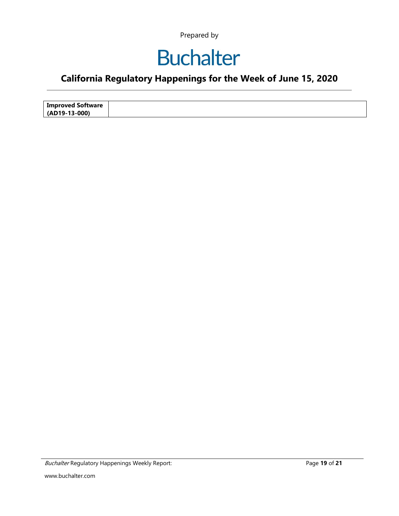### **Buchalter**

### **California Regulatory Happenings for the Week of June 15, 2020**

| <b>Improved Software</b> |  |
|--------------------------|--|
| (AD19-13-000)            |  |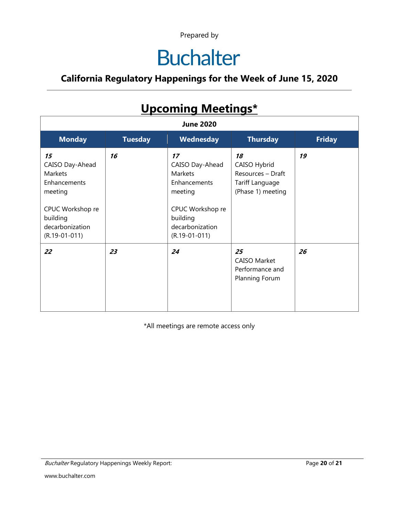# **Buchalter**

### **California Regulatory Happenings for the Week of June 15, 2020**

| <b>Upcoming ivieetings</b><br><b>June 2020</b>                                                                                           |                |                                                                                                                                          |                                                                                 |               |
|------------------------------------------------------------------------------------------------------------------------------------------|----------------|------------------------------------------------------------------------------------------------------------------------------------------|---------------------------------------------------------------------------------|---------------|
|                                                                                                                                          |                |                                                                                                                                          |                                                                                 |               |
| <b>Monday</b>                                                                                                                            | <b>Tuesday</b> | Wednesday                                                                                                                                | <b>Thursday</b>                                                                 | <b>Friday</b> |
| 15<br>CAISO Day-Ahead<br><b>Markets</b><br>Enhancements<br>meeting<br>CPUC Workshop re<br>building<br>decarbonization<br>$(R.19-01-011)$ | 16             | 17<br>CAISO Day-Ahead<br><b>Markets</b><br>Enhancements<br>meeting<br>CPUC Workshop re<br>building<br>decarbonization<br>$(R.19-01-011)$ | 18<br>CAISO Hybrid<br>Resources - Draft<br>Tariff Language<br>(Phase 1) meeting | 19            |
| 22                                                                                                                                       | 23             | 24                                                                                                                                       | 25<br><b>CAISO Market</b><br>Performance and<br>Planning Forum                  | 26            |

### **Upcoming Meetings\***

\*All meetings are remote access only